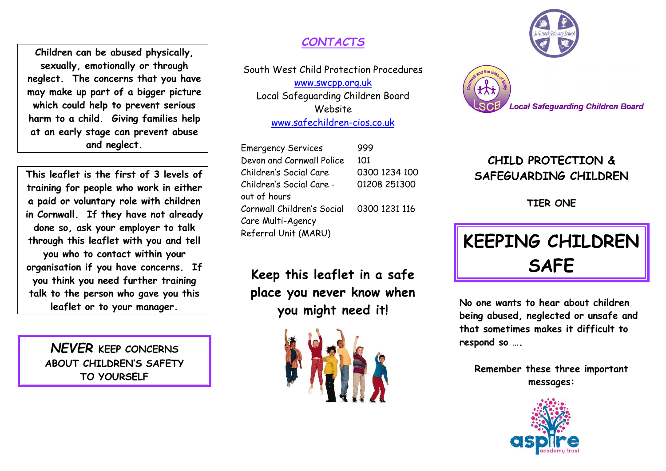**Children can be abused physically, sexually, emotionally or through neglect. The concerns that you have may make up part of a bigger picture which could help to prevent serious harm to a child. Giving families help at an early stage can prevent abuse and neglect.**

**This leaflet is the first of 3 levels of training for people who work in either a paid or voluntary role with children in Cornwall. If they have not already done so, ask your employer to talk through this leaflet with you and tell you who to contact within your organisation if you have concerns. If you think you need further training talk to the person who gave you this leaflet or to your manager.**

> *NEVER* **KEEP CONCERNS ABOUT CHILDREN'S SAFETY TO YOURSELF**

#### *CONTACTS*

South West Child Protection Procedures [www.swcpp.org.uk](http://www.swcpp.org.uk/) Local Safeguarding Children Board Website [www.safechildren-cios.co.uk](http://www.safechildren-cios.co.uk/)

| <b>Emergency Services</b>  | 999           |
|----------------------------|---------------|
| Devon and Cornwall Police  | 101           |
| Children's Social Care     | 0300 1234 100 |
| Children's Social Care -   | 01208 251300  |
| out of hours               |               |
| Cornwall Children's Social | 0300 1231 116 |
| Care Multi-Agency          |               |
| Referral Unit (MARU)       |               |

**Keep this leaflet in a safe place you never know when you might need it!**







### **CHILD PROTECTION & SAFEGUARDING CHILDREN**

**TIER ONE**

# **KEEPING CHILDREN SAFE**

**No one wants to hear about children being abused, neglected or unsafe and that sometimes makes it difficult to respond so ….**

**Remember these three important messages:**